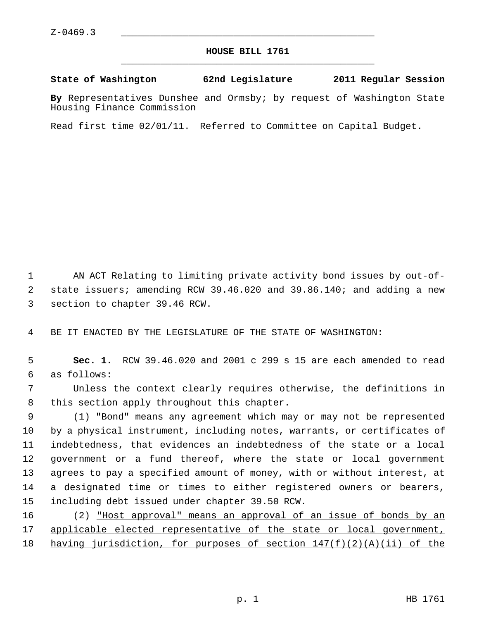## **HOUSE BILL 1761** \_\_\_\_\_\_\_\_\_\_\_\_\_\_\_\_\_\_\_\_\_\_\_\_\_\_\_\_\_\_\_\_\_\_\_\_\_\_\_\_\_\_\_\_\_

## **State of Washington 62nd Legislature 2011 Regular Session**

**By** Representatives Dunshee and Ormsby; by request of Washington State Housing Finance Commission

Read first time 02/01/11. Referred to Committee on Capital Budget.

 1 AN ACT Relating to limiting private activity bond issues by out-of- 2 state issuers; amending RCW 39.46.020 and 39.86.140; and adding a new 3 section to chapter 39.46 RCW.

4 BE IT ENACTED BY THE LEGISLATURE OF THE STATE OF WASHINGTON:

 5 **Sec. 1.** RCW 39.46.020 and 2001 c 299 s 15 are each amended to read 6 as follows:

 7 Unless the context clearly requires otherwise, the definitions in 8 this section apply throughout this chapter.

 9 (1) "Bond" means any agreement which may or may not be represented 10 by a physical instrument, including notes, warrants, or certificates of 11 indebtedness, that evidences an indebtedness of the state or a local 12 government or a fund thereof, where the state or local government 13 agrees to pay a specified amount of money, with or without interest, at 14 a designated time or times to either registered owners or bearers, 15 including debt issued under chapter 39.50 RCW.

16 (2) "Host approval" means an approval of an issue of bonds by an 17 applicable elected representative of the state or local government, 18 having jurisdiction, for purposes of section  $147(f)(2)(A)(ii)$  of the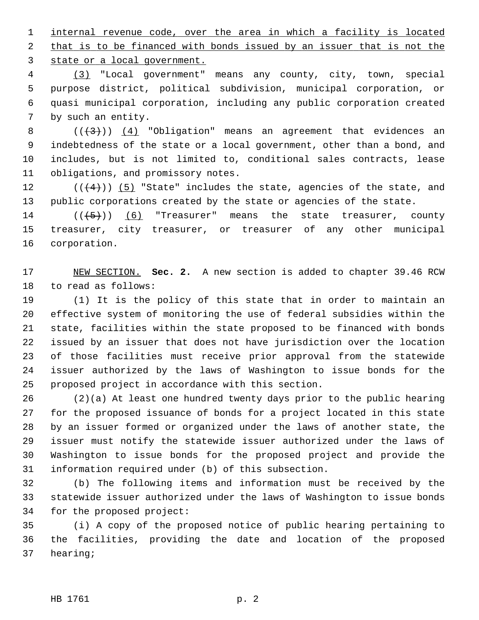1 internal revenue code, over the area in which a facility is located 2 that is to be financed with bonds issued by an issuer that is not the 3 state or a local government.

 4 (3) "Local government" means any county, city, town, special 5 purpose district, political subdivision, municipal corporation, or 6 quasi municipal corporation, including any public corporation created 7 by such an entity.

8  $((+3))$   $(4)$  "Obligation" means an agreement that evidences an 9 indebtedness of the state or a local government, other than a bond, and 10 includes, but is not limited to, conditional sales contracts, lease 11 obligations, and promissory notes.

12  $((+4))$   $(5)$  "State" includes the state, agencies of the state, and 13 public corporations created by the state or agencies of the state.

14  $((+5))$  (6) "Treasurer" means the state treasurer, county 15 treasurer, city treasurer, or treasurer of any other municipal 16 corporation.

17 NEW SECTION. **Sec. 2.** A new section is added to chapter 39.46 RCW 18 to read as follows:

19 (1) It is the policy of this state that in order to maintain an 20 effective system of monitoring the use of federal subsidies within the 21 state, facilities within the state proposed to be financed with bonds 22 issued by an issuer that does not have jurisdiction over the location 23 of those facilities must receive prior approval from the statewide 24 issuer authorized by the laws of Washington to issue bonds for the 25 proposed project in accordance with this section.

26 (2)(a) At least one hundred twenty days prior to the public hearing 27 for the proposed issuance of bonds for a project located in this state 28 by an issuer formed or organized under the laws of another state, the 29 issuer must notify the statewide issuer authorized under the laws of 30 Washington to issue bonds for the proposed project and provide the 31 information required under (b) of this subsection.

32 (b) The following items and information must be received by the 33 statewide issuer authorized under the laws of Washington to issue bonds 34 for the proposed project:

35 (i) A copy of the proposed notice of public hearing pertaining to 36 the facilities, providing the date and location of the proposed 37 hearing;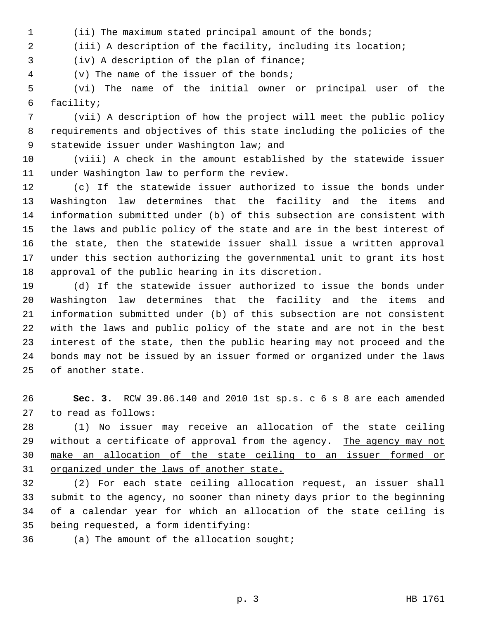1 (ii) The maximum stated principal amount of the bonds;

2 (iii) A description of the facility, including its location;

3 (iv) A description of the plan of finance;

4 (v) The name of the issuer of the bonds;

 5 (vi) The name of the initial owner or principal user of the 6 facility;

 7 (vii) A description of how the project will meet the public policy 8 requirements and objectives of this state including the policies of the 9 statewide issuer under Washington law; and

10 (viii) A check in the amount established by the statewide issuer 11 under Washington law to perform the review.

12 (c) If the statewide issuer authorized to issue the bonds under 13 Washington law determines that the facility and the items and 14 information submitted under (b) of this subsection are consistent with 15 the laws and public policy of the state and are in the best interest of 16 the state, then the statewide issuer shall issue a written approval 17 under this section authorizing the governmental unit to grant its host 18 approval of the public hearing in its discretion.

19 (d) If the statewide issuer authorized to issue the bonds under 20 Washington law determines that the facility and the items and 21 information submitted under (b) of this subsection are not consistent 22 with the laws and public policy of the state and are not in the best 23 interest of the state, then the public hearing may not proceed and the 24 bonds may not be issued by an issuer formed or organized under the laws 25 of another state.

26 **Sec. 3.** RCW 39.86.140 and 2010 1st sp.s. c 6 s 8 are each amended 27 to read as follows:

28 (1) No issuer may receive an allocation of the state ceiling 29 without a certificate of approval from the agency. The agency may not 30 make an allocation of the state ceiling to an issuer formed or 31 organized under the laws of another state.

32 (2) For each state ceiling allocation request, an issuer shall 33 submit to the agency, no sooner than ninety days prior to the beginning 34 of a calendar year for which an allocation of the state ceiling is 35 being requested, a form identifying:

36 (a) The amount of the allocation sought;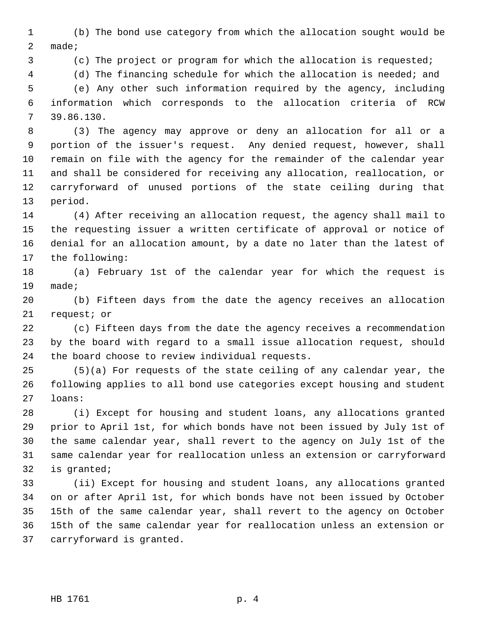1 (b) The bond use category from which the allocation sought would be 2 made;

3 (c) The project or program for which the allocation is requested;

4 (d) The financing schedule for which the allocation is needed; and

 5 (e) Any other such information required by the agency, including 6 information which corresponds to the allocation criteria of RCW 7 39.86.130.

 8 (3) The agency may approve or deny an allocation for all or a 9 portion of the issuer's request. Any denied request, however, shall 10 remain on file with the agency for the remainder of the calendar year 11 and shall be considered for receiving any allocation, reallocation, or 12 carryforward of unused portions of the state ceiling during that 13 period.

14 (4) After receiving an allocation request, the agency shall mail to 15 the requesting issuer a written certificate of approval or notice of 16 denial for an allocation amount, by a date no later than the latest of 17 the following:

18 (a) February 1st of the calendar year for which the request is 19 made;

20 (b) Fifteen days from the date the agency receives an allocation 21 request; or

22 (c) Fifteen days from the date the agency receives a recommendation 23 by the board with regard to a small issue allocation request, should 24 the board choose to review individual requests.

25 (5)(a) For requests of the state ceiling of any calendar year, the 26 following applies to all bond use categories except housing and student 27 loans:

28 (i) Except for housing and student loans, any allocations granted 29 prior to April 1st, for which bonds have not been issued by July 1st of 30 the same calendar year, shall revert to the agency on July 1st of the 31 same calendar year for reallocation unless an extension or carryforward 32 is granted;

33 (ii) Except for housing and student loans, any allocations granted 34 on or after April 1st, for which bonds have not been issued by October 35 15th of the same calendar year, shall revert to the agency on October 36 15th of the same calendar year for reallocation unless an extension or 37 carryforward is granted.